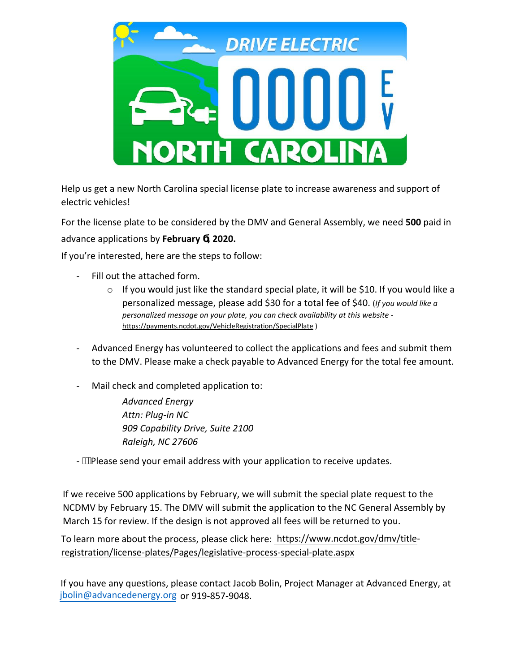

Help us get a new North Carolina special license plate to increase awareness and support of electric vehicles!

For the license plate to be considered by the DMV and General Assembly, we need **500** paid in advance applications by **February , 2020.**

If you're interested, here are the steps to follow:

- Fill out the attached form.
	- o If you would just like the standard special plate, it will be \$10. If you would like a personalized message, please add \$30 for a total fee of \$40. (*If you would like a personalized message on your plate, you can check availability at this website*  <https://payments.ncdot.gov/VehicleRegistration/SpecialPlate>)
- Advanced Energy has volunteered to collect the applications and fees and submit them to the DMV. Please make a check payable to Advanced Energy for the total fee amount.
- Mail check and completed application to:

*Advanced Energy Attn: Plug-in NC 909 Capability Drive, Suite 2100 Raleigh, NC 27606* 

- **We** lease send your email address with your application to receive updates.

If we receive 500 applications by February, we will submit the special plate request to the NCDMV by February 15. The DMV will submit the application to the NC General Assembly by March 15 for review. If the design is not approved all fees will be returned to you.

To learn more about the process, please click here: https://www.ncdot.gov/dmv/titleregistration/license-plates/Pages/legislative-proce[ss-special-plate.aspx](https://www.ncdot.gov/dmv/title-registration/license-plates/Pages/legislative-process-special-plate.aspx)

[If you have any questions, please contact Jacob Bolin, Project Manager a](https://www.ncdot.gov/dmv/title-registration/license-plates/Pages/legislative-process-special-plate.aspx)t Advanced Energy, at [jbolin@advancedenergy.org](mailto:jbolin@advancedenergy.org) or 919-857-9048.